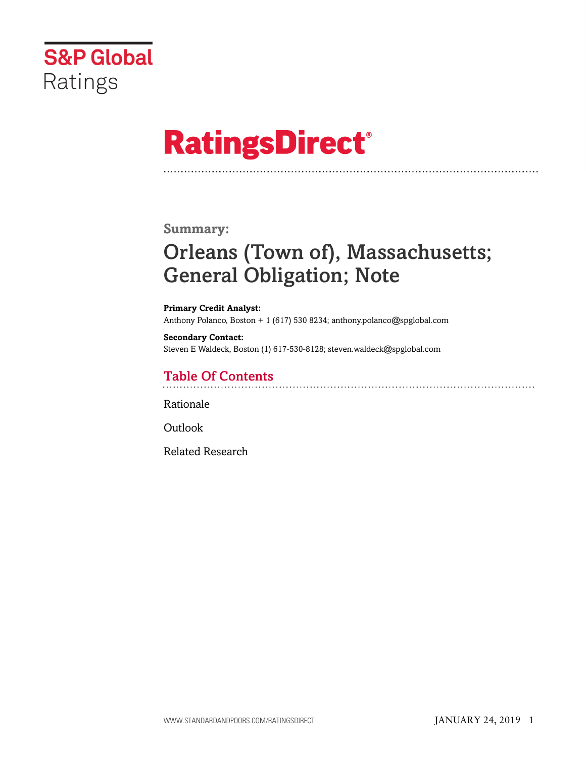

# **RatingsDirect®**

### **Summary:**

# Orleans (Town of), Massachusetts; General Obligation; Note

**Primary Credit Analyst:** Anthony Polanco, Boston + 1 (617) 530 8234; anthony.polanco@spglobal.com

**Secondary Contact:** Steven E Waldeck, Boston (1) 617-530-8128; steven.waldeck@spglobal.com

# Table Of Contents

[Rationale](#page-1-0)

[Outlook](#page-5-0)

[Related Research](#page-5-1)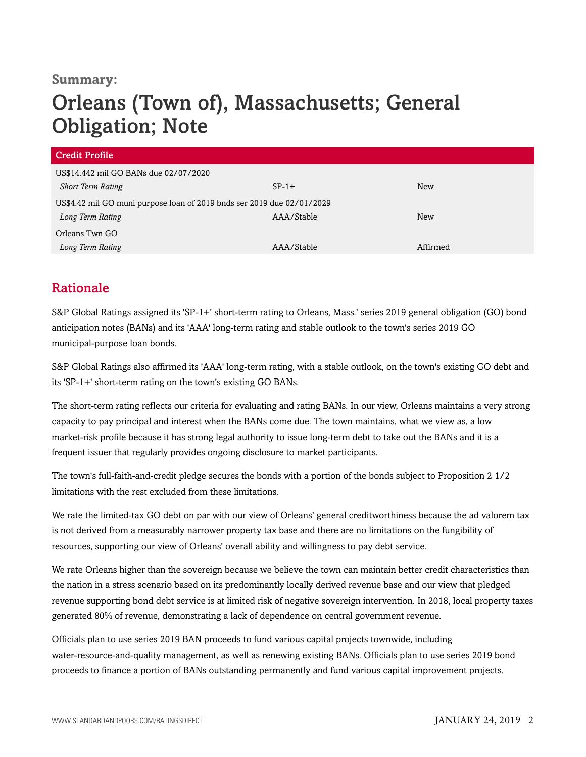### **Summary:**

# Orleans (Town of), Massachusetts; General Obligation; Note

| <b>Credit Profile</b>                                                  |            |            |  |
|------------------------------------------------------------------------|------------|------------|--|
| US\$14.442 mil GO BANs due 02/07/2020                                  |            |            |  |
| <b>Short Term Rating</b>                                               | $SP-1+$    | <b>New</b> |  |
| US\$4.42 mil GO muni purpose loan of 2019 bnds ser 2019 due 02/01/2029 |            |            |  |
| Long Term Rating                                                       | AAA/Stable | <b>New</b> |  |
| Orleans Twn GO                                                         |            |            |  |
| Long Term Rating                                                       | AAA/Stable | Affirmed   |  |

# <span id="page-1-0"></span>Rationale

S&P Global Ratings assigned its 'SP-1+' short-term rating to Orleans, Mass.' series 2019 general obligation (GO) bond anticipation notes (BANs) and its 'AAA' long-term rating and stable outlook to the town's series 2019 GO municipal-purpose loan bonds.

S&P Global Ratings also affirmed its 'AAA' long-term rating, with a stable outlook, on the town's existing GO debt and its 'SP-1+' short-term rating on the town's existing GO BANs.

The short-term rating reflects our criteria for evaluating and rating BANs. In our view, Orleans maintains a very strong capacity to pay principal and interest when the BANs come due. The town maintains, what we view as, a low market-risk profile because it has strong legal authority to issue long-term debt to take out the BANs and it is a frequent issuer that regularly provides ongoing disclosure to market participants.

The town's full-faith-and-credit pledge secures the bonds with a portion of the bonds subject to Proposition 2 1/2 limitations with the rest excluded from these limitations.

We rate the limited-tax GO debt on par with our view of Orleans' general creditworthiness because the ad valorem tax is not derived from a measurably narrower property tax base and there are no limitations on the fungibility of resources, supporting our view of Orleans' overall ability and willingness to pay debt service.

We rate Orleans higher than the sovereign because we believe the town can maintain better credit characteristics than the nation in a stress scenario based on its predominantly locally derived revenue base and our view that pledged revenue supporting bond debt service is at limited risk of negative sovereign intervention. In 2018, local property taxes generated 80% of revenue, demonstrating a lack of dependence on central government revenue.

Officials plan to use series 2019 BAN proceeds to fund various capital projects townwide, including water-resource-and-quality management, as well as renewing existing BANs. Officials plan to use series 2019 bond proceeds to finance a portion of BANs outstanding permanently and fund various capital improvement projects.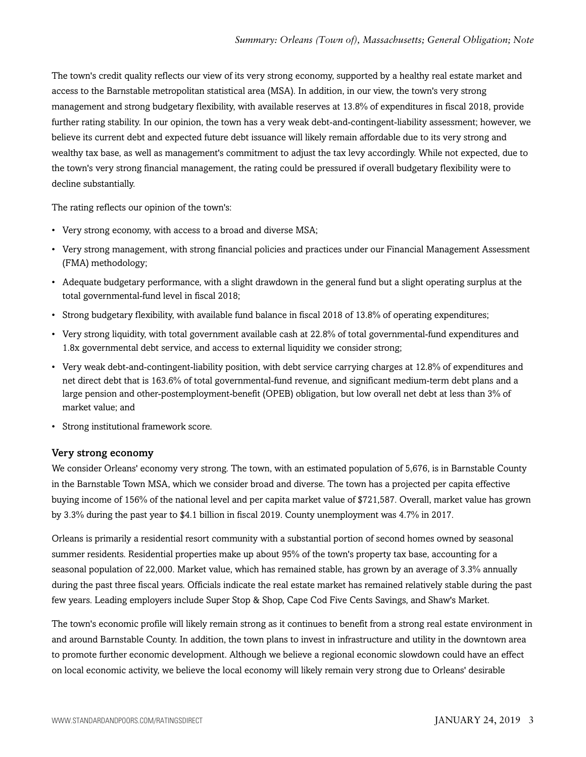The town's credit quality reflects our view of its very strong economy, supported by a healthy real estate market and access to the Barnstable metropolitan statistical area (MSA). In addition, in our view, the town's very strong management and strong budgetary flexibility, with available reserves at 13.8% of expenditures in fiscal 2018, provide further rating stability. In our opinion, the town has a very weak debt-and-contingent-liability assessment; however, we believe its current debt and expected future debt issuance will likely remain affordable due to its very strong and wealthy tax base, as well as management's commitment to adjust the tax levy accordingly. While not expected, due to the town's very strong financial management, the rating could be pressured if overall budgetary flexibility were to decline substantially.

The rating reflects our opinion of the town's:

- Very strong economy, with access to a broad and diverse MSA;
- Very strong management, with strong financial policies and practices under our Financial Management Assessment (FMA) methodology;
- Adequate budgetary performance, with a slight drawdown in the general fund but a slight operating surplus at the total governmental-fund level in fiscal 2018;
- Strong budgetary flexibility, with available fund balance in fiscal 2018 of 13.8% of operating expenditures;
- Very strong liquidity, with total government available cash at 22.8% of total governmental-fund expenditures and 1.8x governmental debt service, and access to external liquidity we consider strong;
- Very weak debt-and-contingent-liability position, with debt service carrying charges at 12.8% of expenditures and net direct debt that is 163.6% of total governmental-fund revenue, and significant medium-term debt plans and a large pension and other-postemployment-benefit (OPEB) obligation, but low overall net debt at less than 3% of market value; and
- Strong institutional framework score.

#### Very strong economy

We consider Orleans' economy very strong. The town, with an estimated population of 5,676, is in Barnstable County in the Barnstable Town MSA, which we consider broad and diverse. The town has a projected per capita effective buying income of 156% of the national level and per capita market value of \$721,587. Overall, market value has grown by 3.3% during the past year to \$4.1 billion in fiscal 2019. County unemployment was 4.7% in 2017.

Orleans is primarily a residential resort community with a substantial portion of second homes owned by seasonal summer residents. Residential properties make up about 95% of the town's property tax base, accounting for a seasonal population of 22,000. Market value, which has remained stable, has grown by an average of 3.3% annually during the past three fiscal years. Officials indicate the real estate market has remained relatively stable during the past few years. Leading employers include Super Stop & Shop, Cape Cod Five Cents Savings, and Shaw's Market.

The town's economic profile will likely remain strong as it continues to benefit from a strong real estate environment in and around Barnstable County. In addition, the town plans to invest in infrastructure and utility in the downtown area to promote further economic development. Although we believe a regional economic slowdown could have an effect on local economic activity, we believe the local economy will likely remain very strong due to Orleans' desirable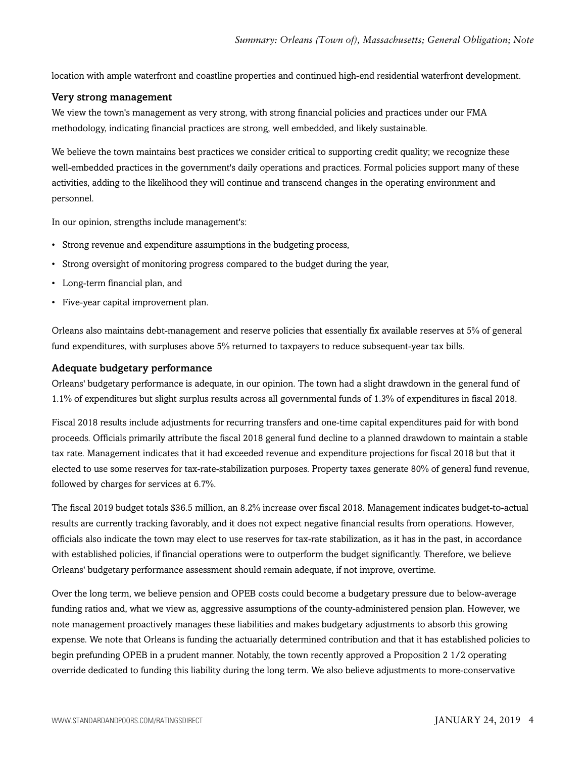location with ample waterfront and coastline properties and continued high-end residential waterfront development.

#### Very strong management

We view the town's management as very strong, with strong financial policies and practices under our FMA methodology, indicating financial practices are strong, well embedded, and likely sustainable.

We believe the town maintains best practices we consider critical to supporting credit quality; we recognize these well-embedded practices in the government's daily operations and practices. Formal policies support many of these activities, adding to the likelihood they will continue and transcend changes in the operating environment and personnel.

In our opinion, strengths include management's:

- Strong revenue and expenditure assumptions in the budgeting process,
- Strong oversight of monitoring progress compared to the budget during the year,
- Long-term financial plan, and
- Five-year capital improvement plan.

Orleans also maintains debt-management and reserve policies that essentially fix available reserves at 5% of general fund expenditures, with surpluses above 5% returned to taxpayers to reduce subsequent-year tax bills.

#### Adequate budgetary performance

Orleans' budgetary performance is adequate, in our opinion. The town had a slight drawdown in the general fund of 1.1% of expenditures but slight surplus results across all governmental funds of 1.3% of expenditures in fiscal 2018.

Fiscal 2018 results include adjustments for recurring transfers and one-time capital expenditures paid for with bond proceeds. Officials primarily attribute the fiscal 2018 general fund decline to a planned drawdown to maintain a stable tax rate. Management indicates that it had exceeded revenue and expenditure projections for fiscal 2018 but that it elected to use some reserves for tax-rate-stabilization purposes. Property taxes generate 80% of general fund revenue, followed by charges for services at 6.7%.

The fiscal 2019 budget totals \$36.5 million, an 8.2% increase over fiscal 2018. Management indicates budget-to-actual results are currently tracking favorably, and it does not expect negative financial results from operations. However, officials also indicate the town may elect to use reserves for tax-rate stabilization, as it has in the past, in accordance with established policies, if financial operations were to outperform the budget significantly. Therefore, we believe Orleans' budgetary performance assessment should remain adequate, if not improve, overtime.

Over the long term, we believe pension and OPEB costs could become a budgetary pressure due to below-average funding ratios and, what we view as, aggressive assumptions of the county-administered pension plan. However, we note management proactively manages these liabilities and makes budgetary adjustments to absorb this growing expense. We note that Orleans is funding the actuarially determined contribution and that it has established policies to begin prefunding OPEB in a prudent manner. Notably, the town recently approved a Proposition 2 1/2 operating override dedicated to funding this liability during the long term. We also believe adjustments to more-conservative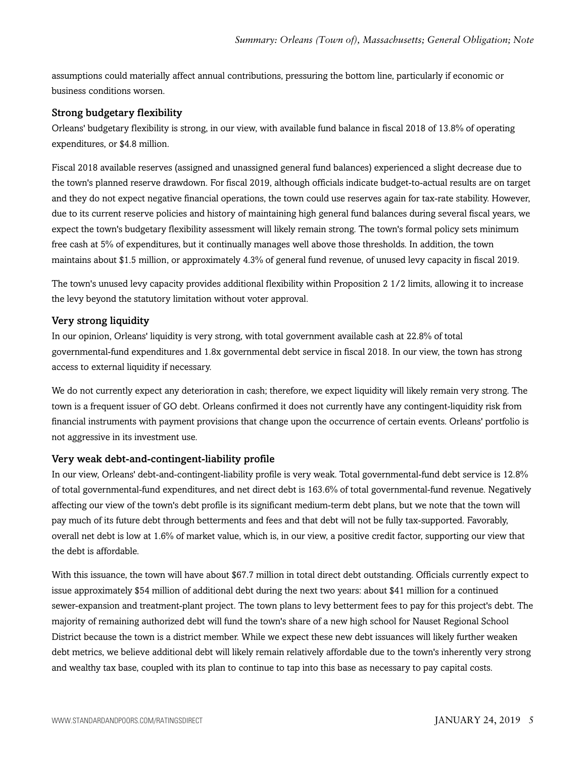assumptions could materially affect annual contributions, pressuring the bottom line, particularly if economic or business conditions worsen.

#### Strong budgetary flexibility

Orleans' budgetary flexibility is strong, in our view, with available fund balance in fiscal 2018 of 13.8% of operating expenditures, or \$4.8 million.

Fiscal 2018 available reserves (assigned and unassigned general fund balances) experienced a slight decrease due to the town's planned reserve drawdown. For fiscal 2019, although officials indicate budget-to-actual results are on target and they do not expect negative financial operations, the town could use reserves again for tax-rate stability. However, due to its current reserve policies and history of maintaining high general fund balances during several fiscal years, we expect the town's budgetary flexibility assessment will likely remain strong. The town's formal policy sets minimum free cash at 5% of expenditures, but it continually manages well above those thresholds. In addition, the town maintains about \$1.5 million, or approximately 4.3% of general fund revenue, of unused levy capacity in fiscal 2019.

The town's unused levy capacity provides additional flexibility within Proposition 2 1/2 limits, allowing it to increase the levy beyond the statutory limitation without voter approval.

#### Very strong liquidity

In our opinion, Orleans' liquidity is very strong, with total government available cash at 22.8% of total governmental-fund expenditures and 1.8x governmental debt service in fiscal 2018. In our view, the town has strong access to external liquidity if necessary.

We do not currently expect any deterioration in cash; therefore, we expect liquidity will likely remain very strong. The town is a frequent issuer of GO debt. Orleans confirmed it does not currently have any contingent-liquidity risk from financial instruments with payment provisions that change upon the occurrence of certain events. Orleans' portfolio is not aggressive in its investment use.

#### Very weak debt-and-contingent-liability profile

In our view, Orleans' debt-and-contingent-liability profile is very weak. Total governmental-fund debt service is 12.8% of total governmental-fund expenditures, and net direct debt is 163.6% of total governmental-fund revenue. Negatively affecting our view of the town's debt profile is its significant medium-term debt plans, but we note that the town will pay much of its future debt through betterments and fees and that debt will not be fully tax-supported. Favorably, overall net debt is low at 1.6% of market value, which is, in our view, a positive credit factor, supporting our view that the debt is affordable.

With this issuance, the town will have about \$67.7 million in total direct debt outstanding. Officials currently expect to issue approximately \$54 million of additional debt during the next two years: about \$41 million for a continued sewer-expansion and treatment-plant project. The town plans to levy betterment fees to pay for this project's debt. The majority of remaining authorized debt will fund the town's share of a new high school for Nauset Regional School District because the town is a district member. While we expect these new debt issuances will likely further weaken debt metrics, we believe additional debt will likely remain relatively affordable due to the town's inherently very strong and wealthy tax base, coupled with its plan to continue to tap into this base as necessary to pay capital costs.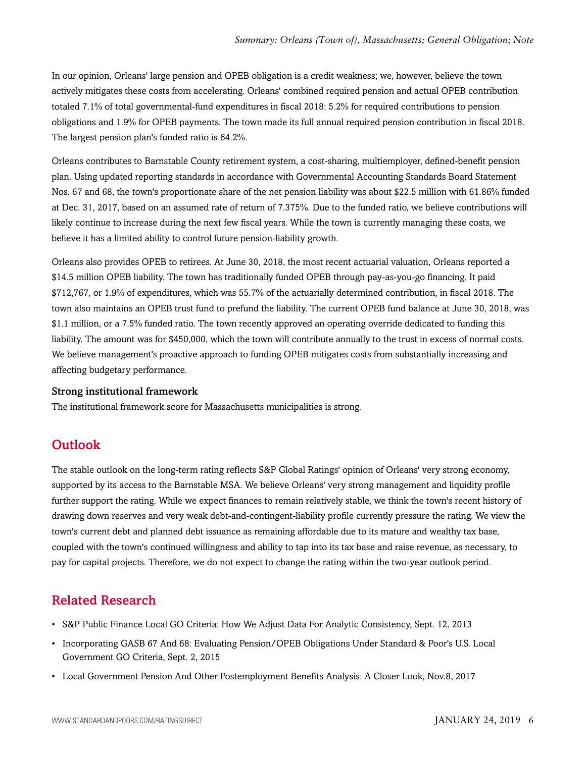In our opinion, Orleans' large pension and OPEB obligation is a credit weakness; we, however, believe the town actively mitigates these costs from accelerating. Orleans' combined required pension and actual OPEB contribution totaled 7.1% of total governmental-fund expenditures in fiscal 2018: 5.2% for required contributions to pension obligations and 1.9% for OPEB payments. The town made its full annual required pension contribution in fiscal 2018. The largest pension plan's funded ratio is 64.2%.

Orleans contributes to Barnstable County retirement system, a cost-sharing, multiemployer, defined-benefit pension plan. Using updated reporting standards in accordance with Governmental Accounting Standards Board Statement Nos. 67 and 68, the town's proportionate share of the net pension liability was about \$22.5 million with 61.86% funded at Dec. 31, 2017, based on an assumed rate of return of 7.375%. Due to the funded ratio, we believe contributions will likely continue to increase during the next few fiscal years. While the town is currently managing these costs, we believe it has a limited ability to control future pension-liability growth.

Orleans also provides OPEB to retirees. At June 30, 2018, the most recent actuarial valuation, Orleans reported a \$14.5 million OPEB liability. The town has traditionally funded OPEB through pay-as-you-go financing. It paid \$712,767, or 1.9% of expenditures, which was 55.7% of the actuarially determined contribution, in fiscal 2018. The town also maintains an OPEB trust fund to prefund the liability. The current OPEB fund balance at June 30, 2018, was \$1.1 million, or a 7.5% funded ratio. The town recently approved an operating override dedicated to funding this liability. The amount was for \$450,000, which the town will contribute annually to the trust in excess of normal costs. We believe management's proactive approach to funding OPEB mitigates costs from substantially increasing and affecting budgetary performance.

#### Strong institutional framework

<span id="page-5-0"></span>The institutional framework score for Massachusetts municipalities is strong.

# **Outlook**

The stable outlook on the long-term rating reflects S&P Global Ratings' opinion of Orleans' very strong economy, supported by its access to the Barnstable MSA. We believe Orleans' very strong management and liquidity profile further support the rating. While we expect finances to remain relatively stable, we think the town's recent history of drawing down reserves and very weak debt-and-contingent-liability profile currently pressure the rating. We view the town's current debt and planned debt issuance as remaining affordable due to its mature and wealthy tax base, coupled with the town's continued willingness and ability to tap into its tax base and raise revenue, as necessary, to pay for capital projects. Therefore, we do not expect to change the rating within the two-year outlook period.

# <span id="page-5-1"></span>Related Research

- S&P Public Finance Local GO Criteria: How We Adjust Data For Analytic Consistency, Sept. 12, 2013
- Incorporating GASB 67 And 68: Evaluating Pension/OPEB Obligations Under Standard & Poor's U.S. Local Government GO Criteria, Sept. 2, 2015
- Local Government Pension And Other Postemployment Benefits Analysis: A Closer Look, Nov.8, 2017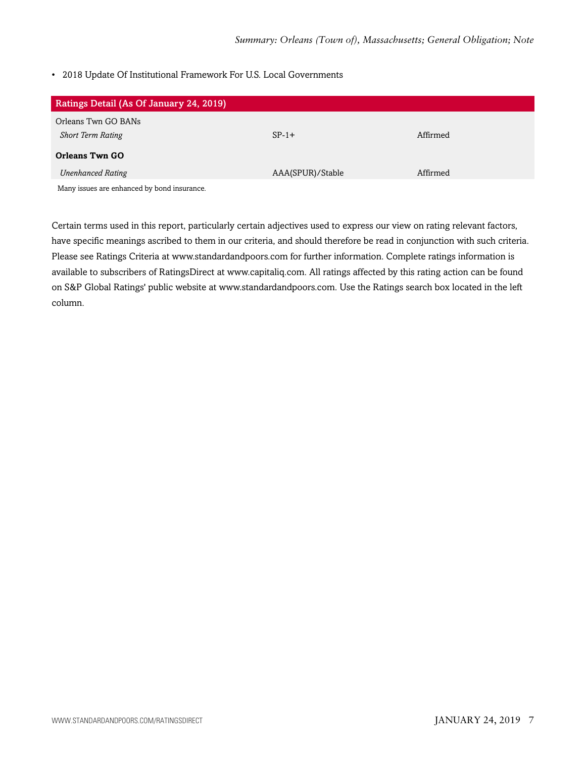#### • 2018 Update Of Institutional Framework For U.S. Local Governments

| Ratings Detail (As Of January 24, 2019)     |                  |          |
|---------------------------------------------|------------------|----------|
| Orleans Twn GO BANs                         |                  |          |
| <b>Short Term Rating</b>                    | $SP-1+$          | Affirmed |
| <b>Orleans Twn GO</b>                       |                  |          |
| <b>Unenhanced Rating</b>                    | AAA(SPUR)/Stable | Affirmed |
| Many issues are enhanced by bond insurance. |                  |          |

Certain terms used in this report, particularly certain adjectives used to express our view on rating relevant factors, have specific meanings ascribed to them in our criteria, and should therefore be read in conjunction with such criteria. Please see Ratings Criteria at www.standardandpoors.com for further information. Complete ratings information is available to subscribers of RatingsDirect at www.capitaliq.com. All ratings affected by this rating action can be found on S&P Global Ratings' public website at www.standardandpoors.com. Use the Ratings search box located in the left column.